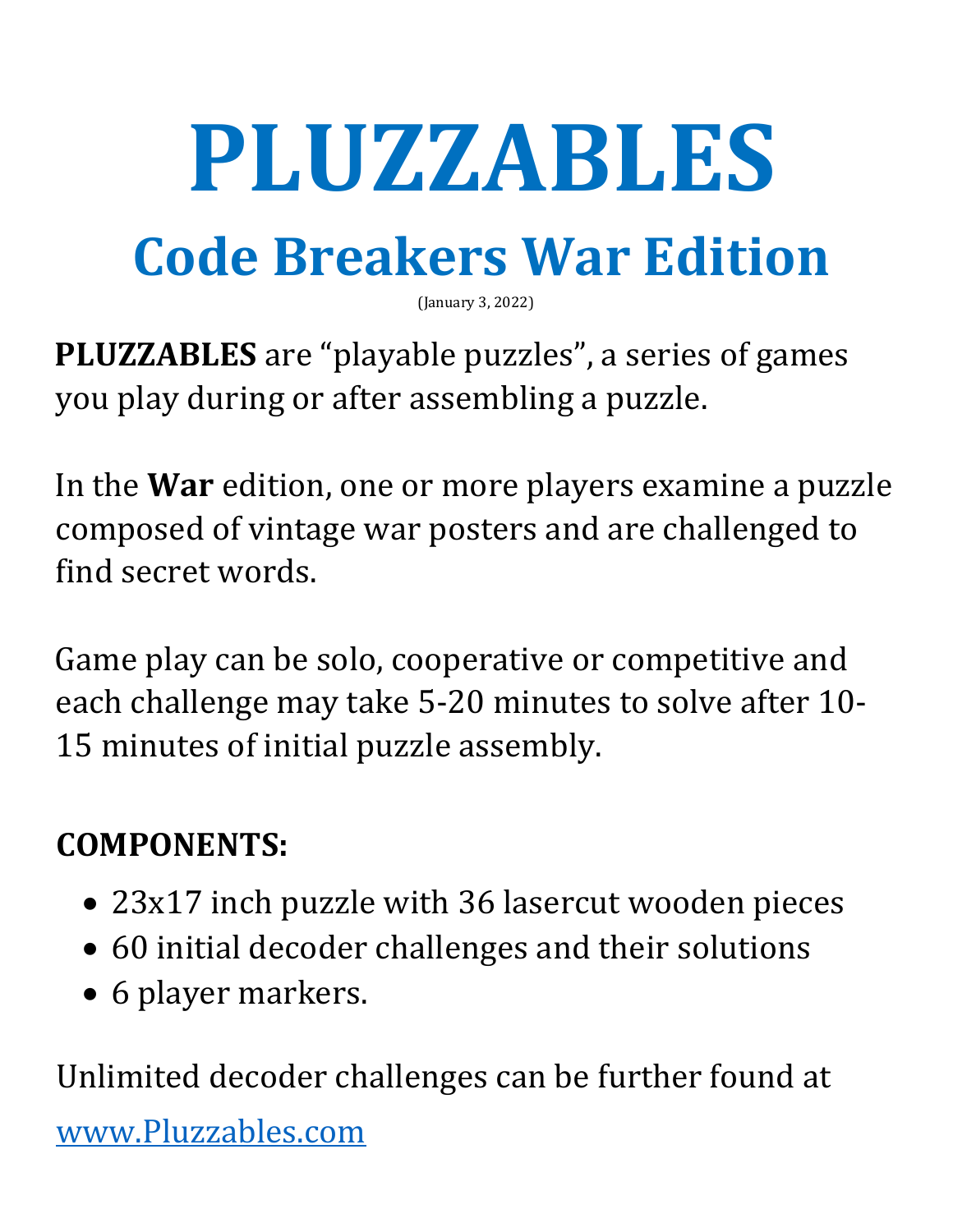# **PLUZZABLES**

# **Code Breakers War Edition**

(January 3, 2022)

**PLUZZABLES** are "playable puzzles", a series of games you play during or after assembling a puzzle.

In the **War** edition, one or more players examine a puzzle composed of vintage war posters and are challenged to find secret words.

Game play can be solo, cooperative or competitive and each challenge may take 5-20 minutes to solve after 10- 15 minutes of initial puzzle assembly.

# **COMPONENTS:**

- 23x17 inch puzzle with 36 lasercut wooden pieces
- 60 initial decoder challenges and their solutions
- 6 player markers.

Unlimited decoder challenges can be further found at [www.Pluzzables.com](http://www.pluzzables.com/)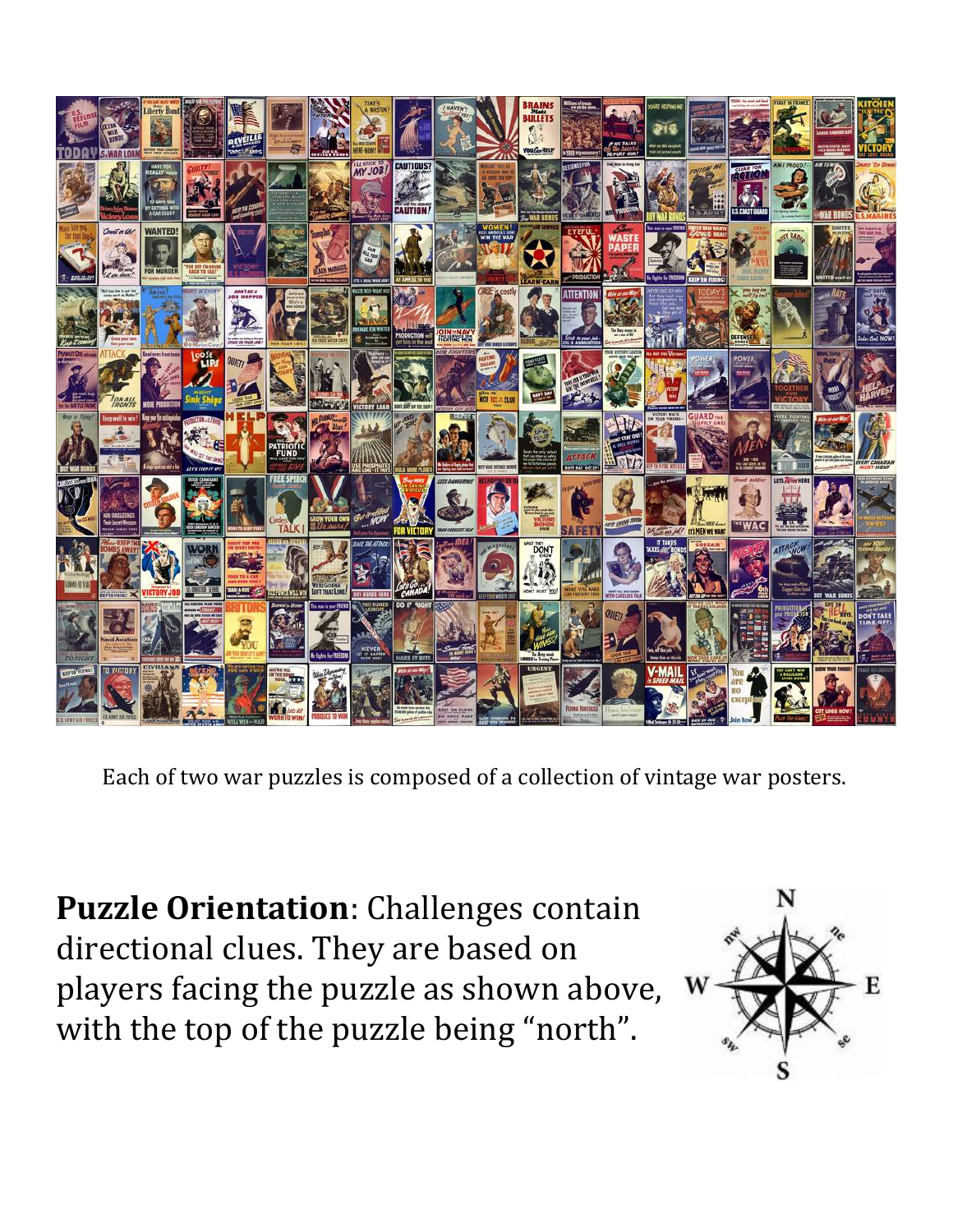

Each of two war puzzles is composed of a collection of vintage war posters.

**Puzzle Orientation**: Challenges contain directional clues. They are based on players facing the puzzle as shown above, with the top of the puzzle being "north".

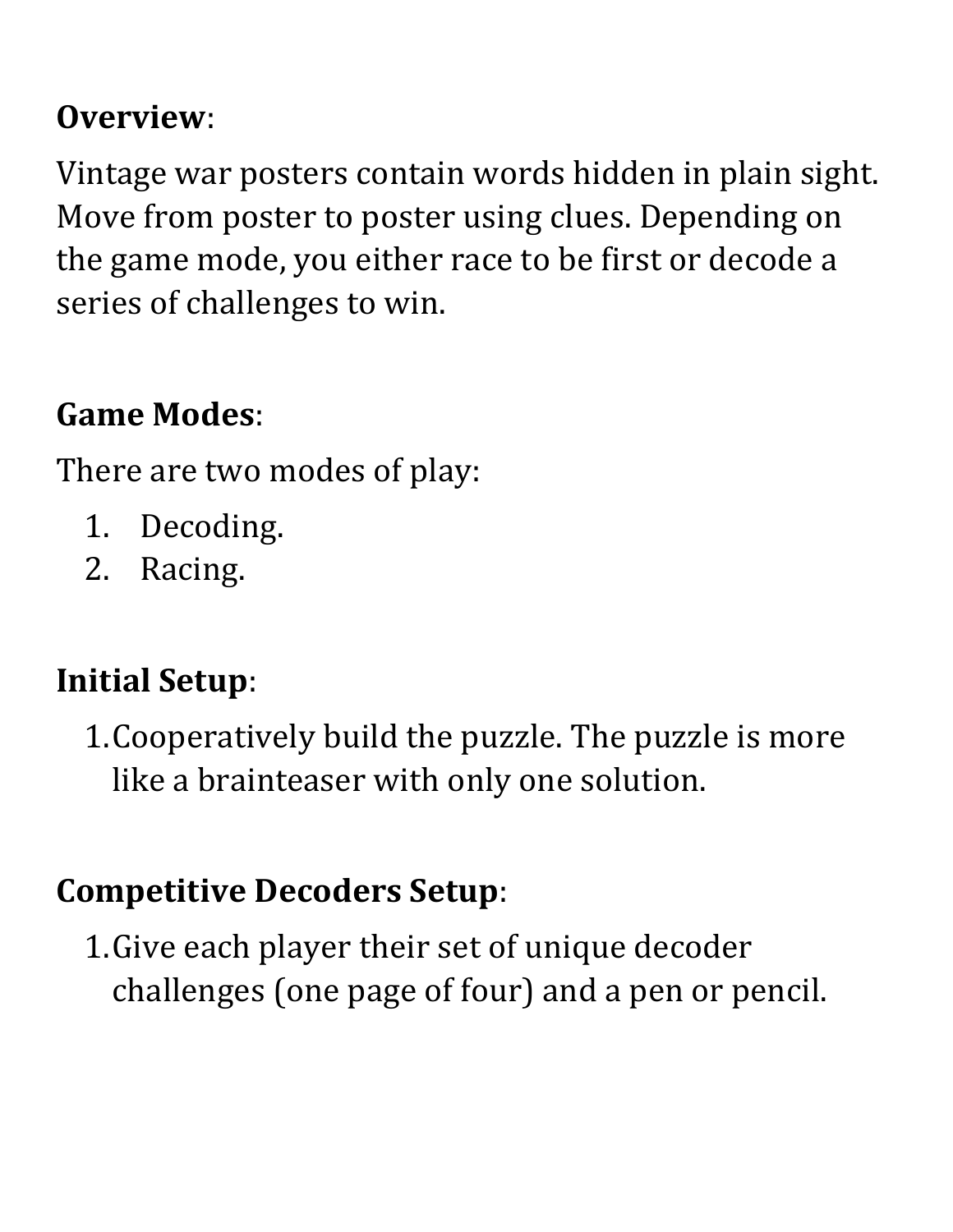#### **Overview**:

Vintage war posters contain words hidden in plain sight. Move from poster to poster using clues. Depending on the game mode, you either race to be first or decode a series of challenges to win.

#### **Game Modes**:

There are two modes of play:

- 1. Decoding.
- 2. Racing.

#### **Initial Setup**:

1.Cooperatively build the puzzle. The puzzle is more like a brainteaser with only one solution.

#### **Competitive Decoders Setup**:

1.Give each player their set of unique decoder challenges (one page of four) and a pen or pencil.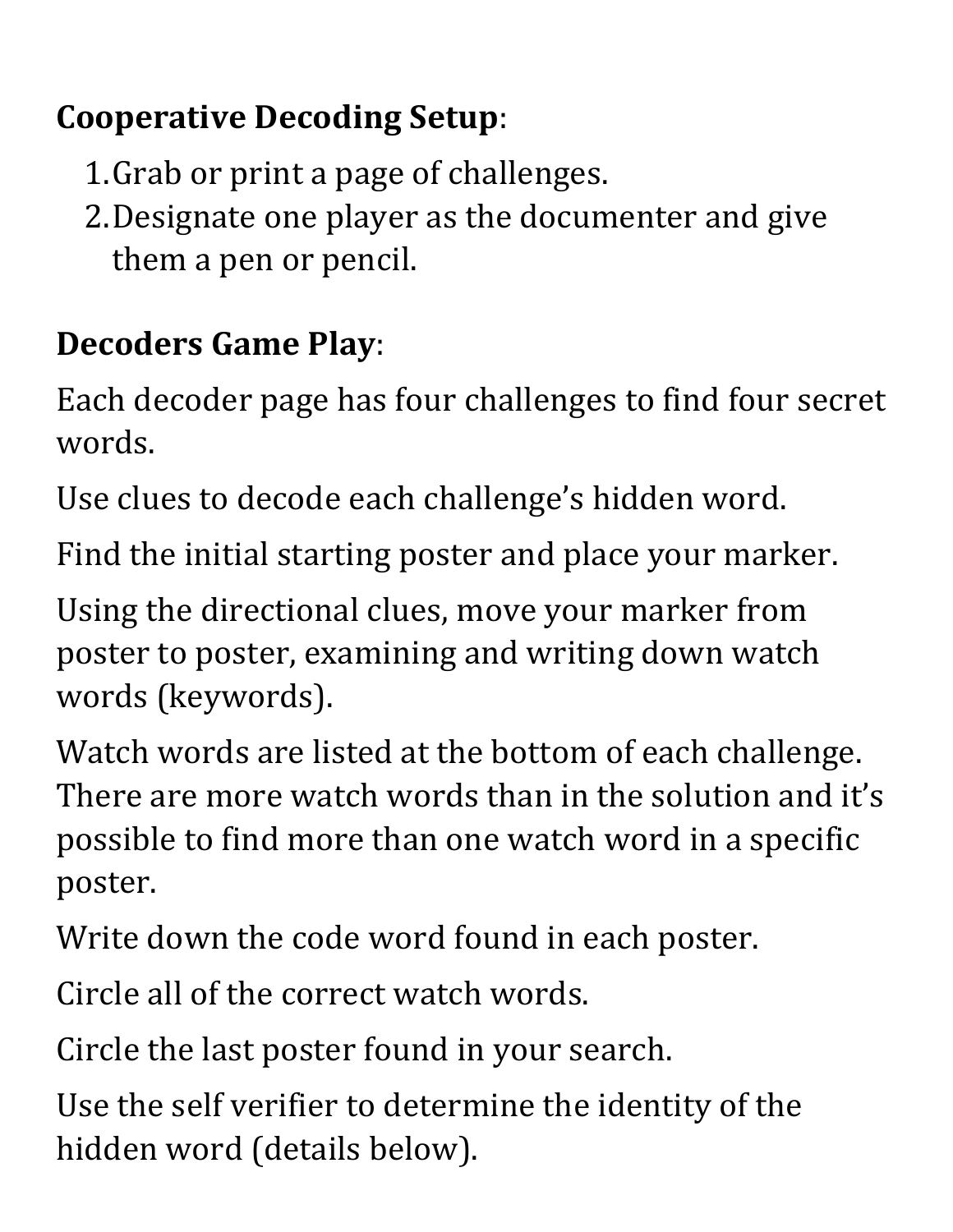## **Cooperative Decoding Setup**:

- 1.Grab or print a page of challenges.
- 2.Designate one player as the documenter and give them a pen or pencil.

# **Decoders Game Play**:

Each decoder page has four challenges to find four secret words.

Use clues to decode each challenge's hidden word.

Find the initial starting poster and place your marker.

Using the directional clues, move your marker from poster to poster, examining and writing down watch words (keywords).

Watch words are listed at the bottom of each challenge. There are more watch words than in the solution and it's possible to find more than one watch word in a specific poster.

Write down the code word found in each poster.

Circle all of the correct watch words.

Circle the last poster found in your search.

Use the self verifier to determine the identity of the hidden word (details below).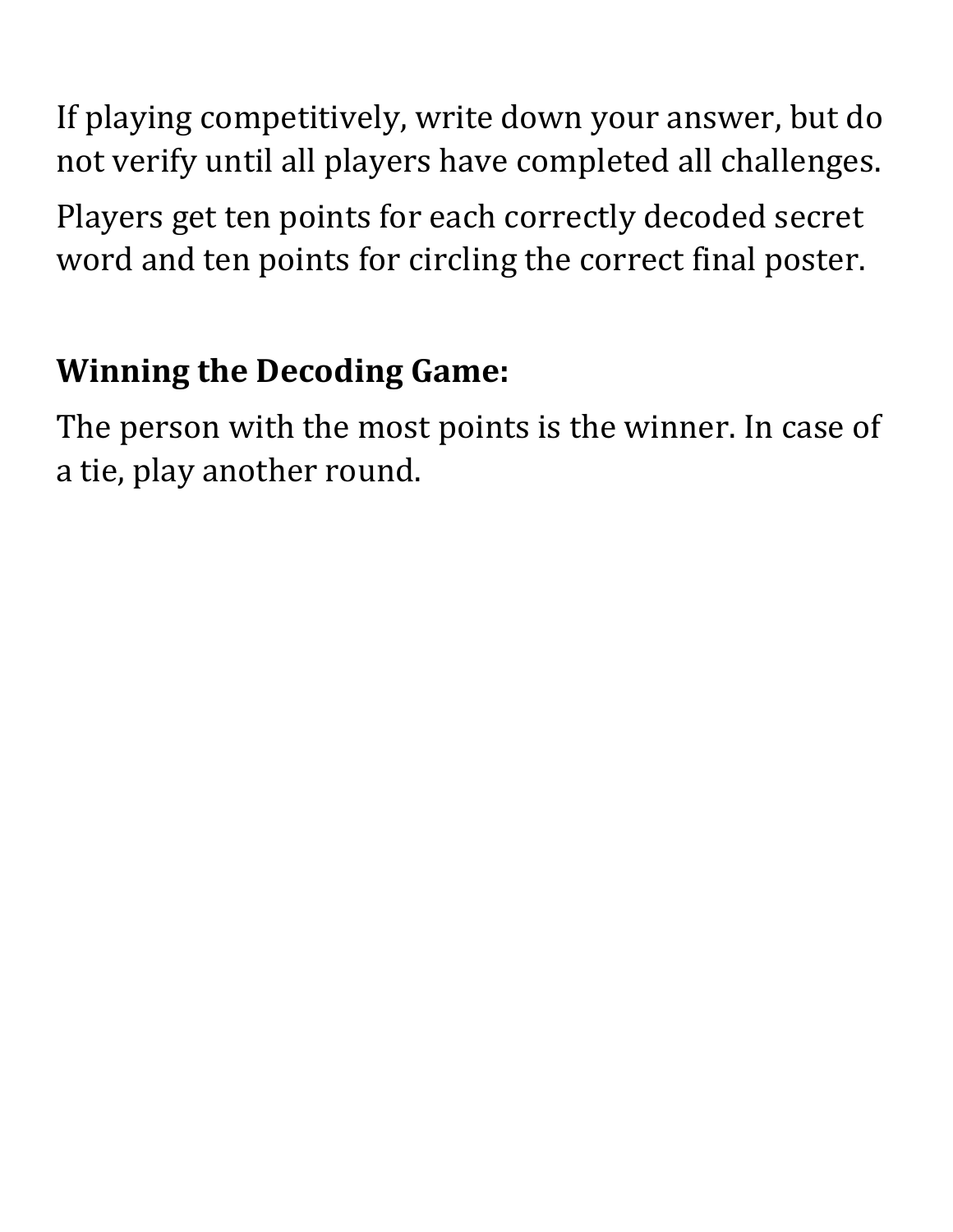If playing competitively, write down your answer, but do not verify until all players have completed all challenges.

Players get ten points for each correctly decoded secret word and ten points for circling the correct final poster.

#### **Winning the Decoding Game:**

The person with the most points is the winner. In case of a tie, play another round.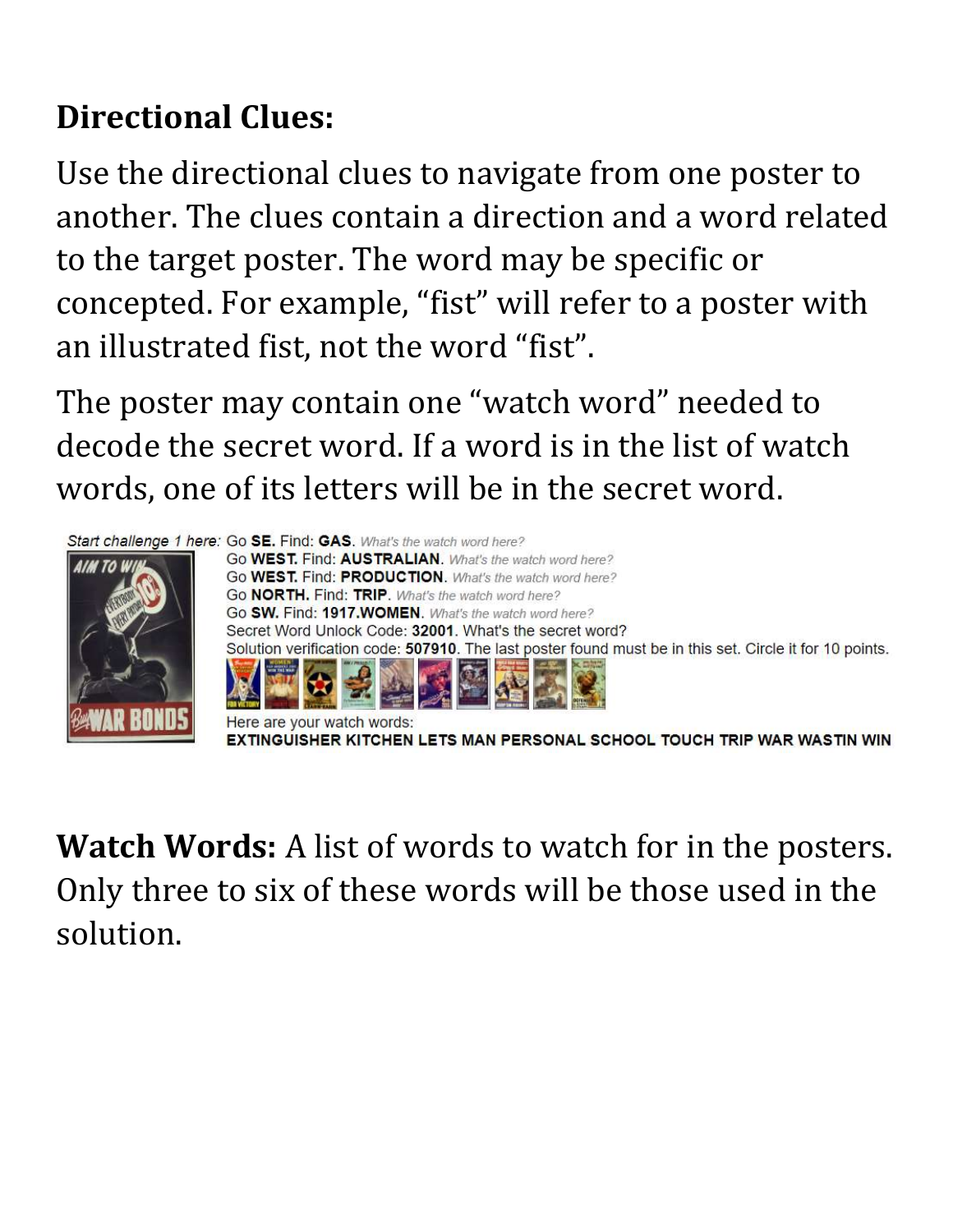# **Directional Clues:**

Use the directional clues to navigate from one poster to another. The clues contain a direction and a word related to the target poster. The word may be specific or concepted. For example, "fist" will refer to a poster with an illustrated fist, not the word "fist".

The poster may contain one "watch word" needed to decode the secret word. If a word is in the list of watch words, one of its letters will be in the secret word.



**Watch Words:** A list of words to watch for in the posters. Only three to six of these words will be those used in the solution.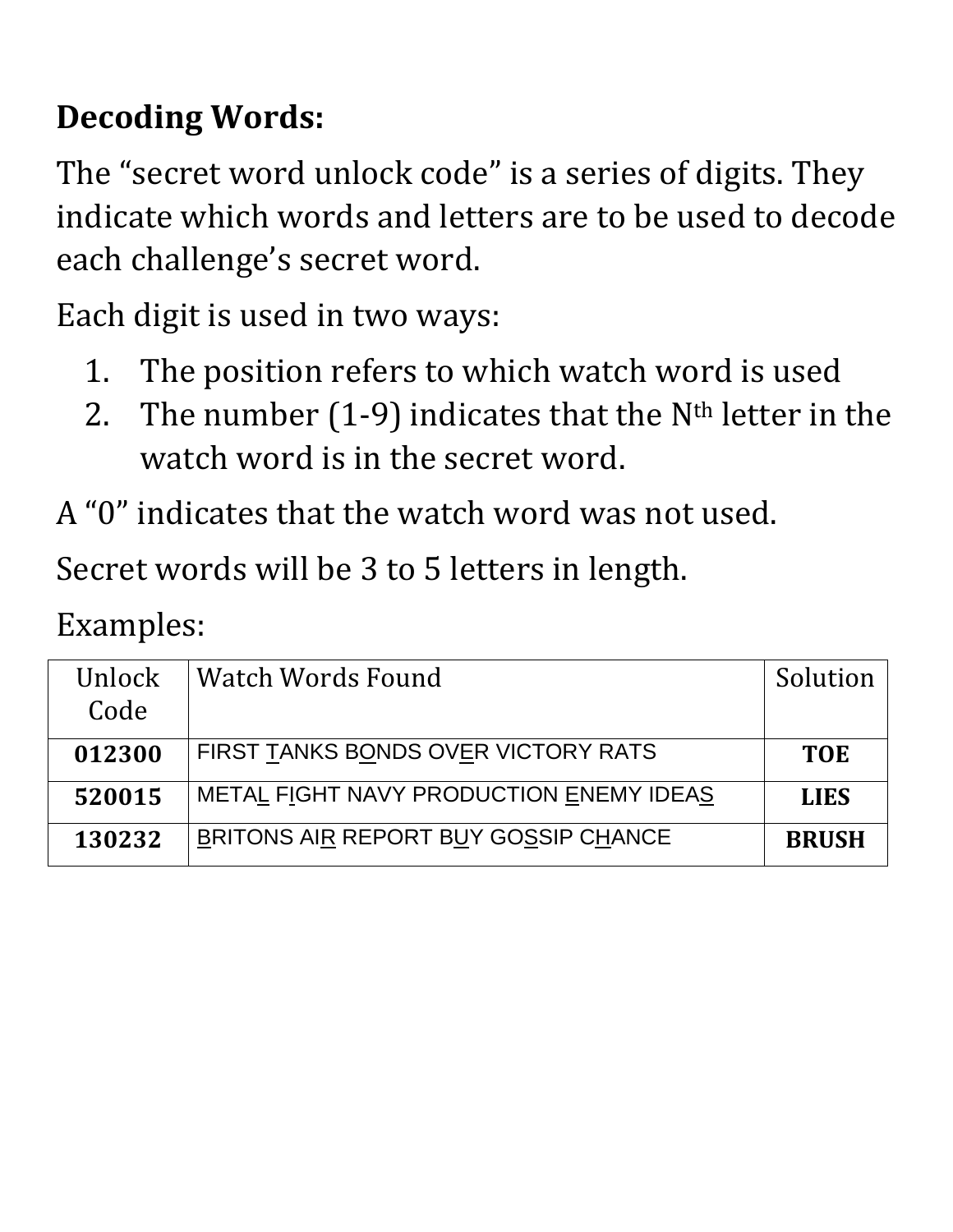# **Decoding Words:**

The "secret word unlock code" is a series of digits. They indicate which words and letters are to be used to decode each challenge's secret word.

Each digit is used in two ways:

- 1. The position refers to which watch word is used
- 2. The number  $(1-9)$  indicates that the N<sup>th</sup> letter in the watch word is in the secret word.
- A "0" indicates that the watch word was not used.

Secret words will be 3 to 5 letters in length.

Examples:

| Unlock<br>Code | Watch Words Found                       | Solution     |
|----------------|-----------------------------------------|--------------|
| 012300         | FIRST TANKS BONDS OVER VICTORY RATS     | <b>TOE</b>   |
| 520015         | METAL FIGHT NAVY PRODUCTION ENEMY IDEAS | <b>LIES</b>  |
| 130232         | BRITONS AIR REPORT BUY GOSSIP CHANCE    | <b>BRUSH</b> |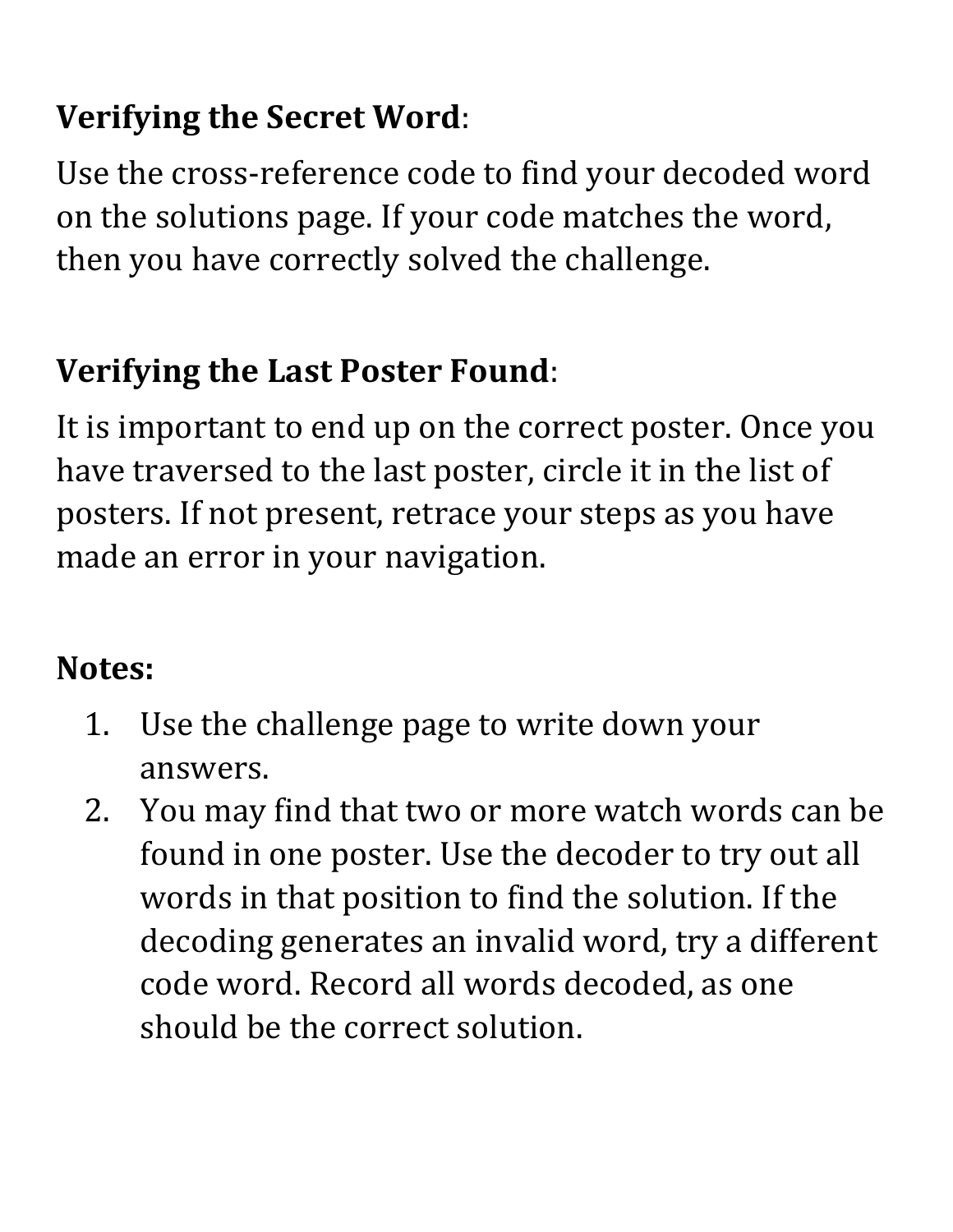# **Verifying the Secret Word**:

Use the cross-reference code to find your decoded word on the solutions page. If your code matches the word, then you have correctly solved the challenge.

#### **Verifying the Last Poster Found**:

It is important to end up on the correct poster. Once you have traversed to the last poster, circle it in the list of posters. If not present, retrace your steps as you have made an error in your navigation.

#### **Notes:**

- 1. Use the challenge page to write down your answers.
- 2. You may find that two or more watch words can be found in one poster. Use the decoder to try out all words in that position to find the solution. If the decoding generates an invalid word, try a different code word. Record all words decoded, as one should be the correct solution.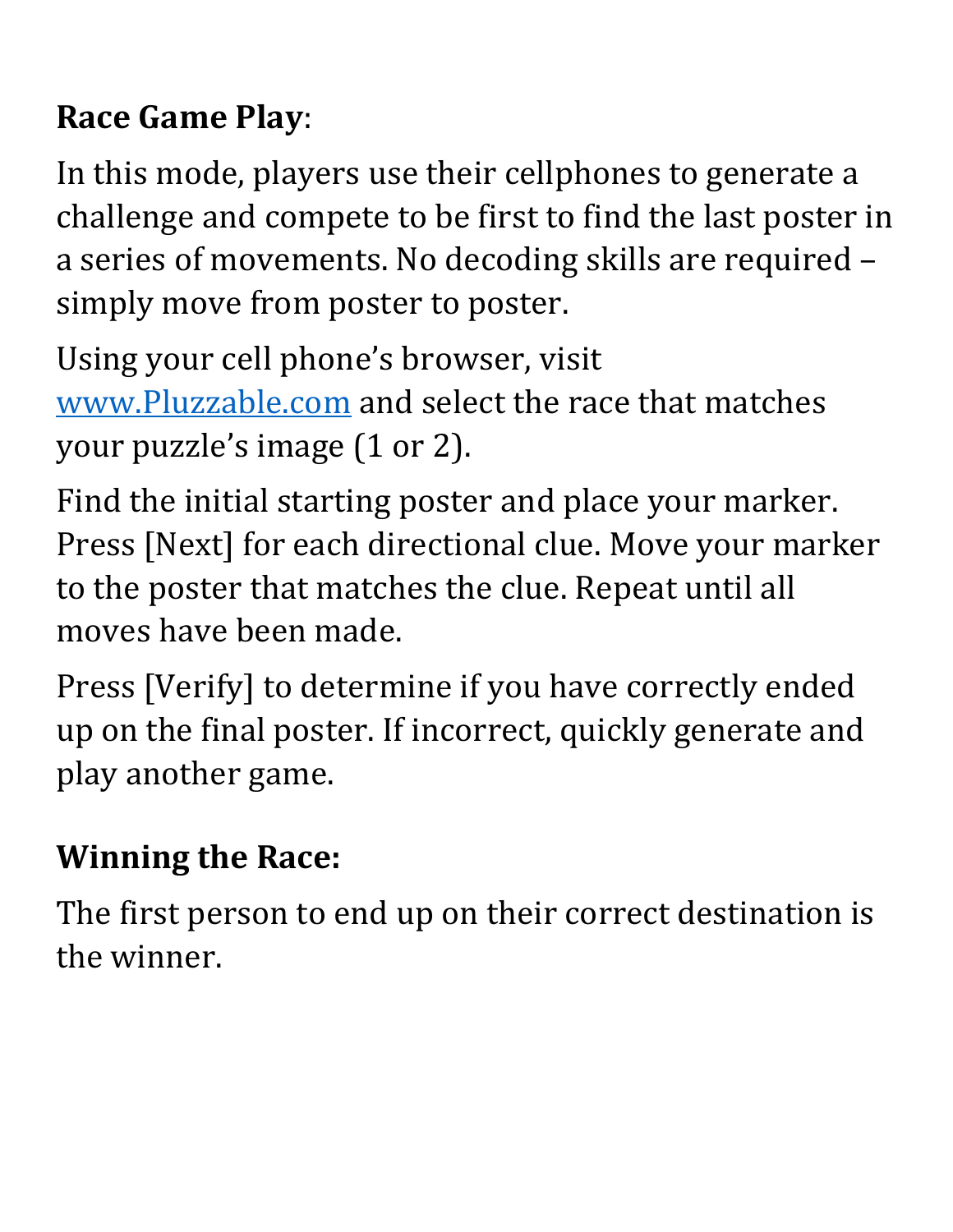#### **Race Game Play**:

In this mode, players use their cellphones to generate a challenge and compete to be first to find the last poster in a series of movements. No decoding skills are required – simply move from poster to poster.

Using your cell phone's browser, visit [www.Pluzzable.com](http://www.pluzzable.com/) and select the race that matches your puzzle's image (1 or 2).

Find the initial starting poster and place your marker. Press [Next] for each directional clue. Move your marker to the poster that matches the clue. Repeat until all moves have been made.

Press [Verify] to determine if you have correctly ended up on the final poster. If incorrect, quickly generate and play another game.

## **Winning the Race:**

The first person to end up on their correct destination is the winner.